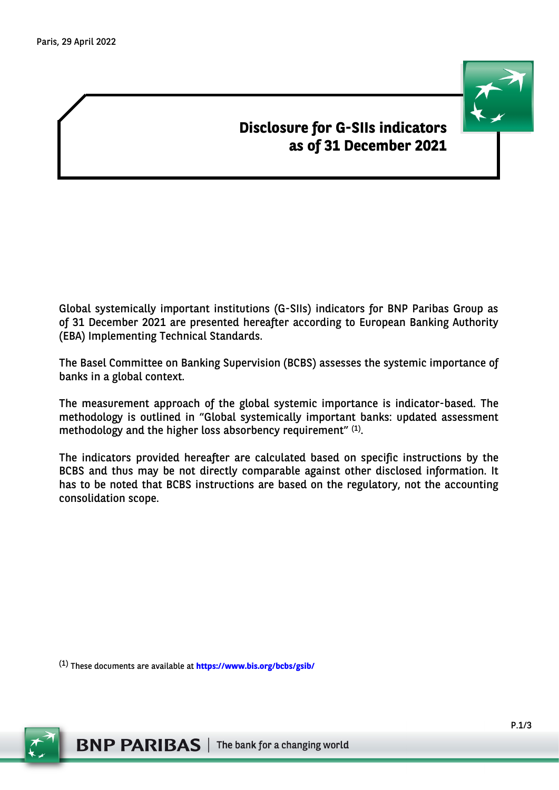# **Disclosure for G-SIIs indicators as of 31 December 2021**

Global systemically important institutions (G-SIIs) indicators for BNP Paribas Group as of 31 December 2021 are presented hereafter according to European Banking Authority (EBA) Implementing Technical Standards.

The Basel Committee on Banking Supervision (BCBS) assesses the systemic importance of banks in a global context.

The measurement approach of the global systemic importance is indicator-based. The methodology is outlined in "Global systemically important banks: updated assessment methodology and the higher loss absorbency requirement"  $(1)$ .

The indicators provided hereafter are calculated based on specific instructions by the BCBS and thus may be not directly comparable against other disclosed information. It has to be noted that BCBS instructions are based on the regulatory, not the accounting consolidation scope.

(1) These documents are available at **<https://www.bis.org/bcbs/gsib/>**

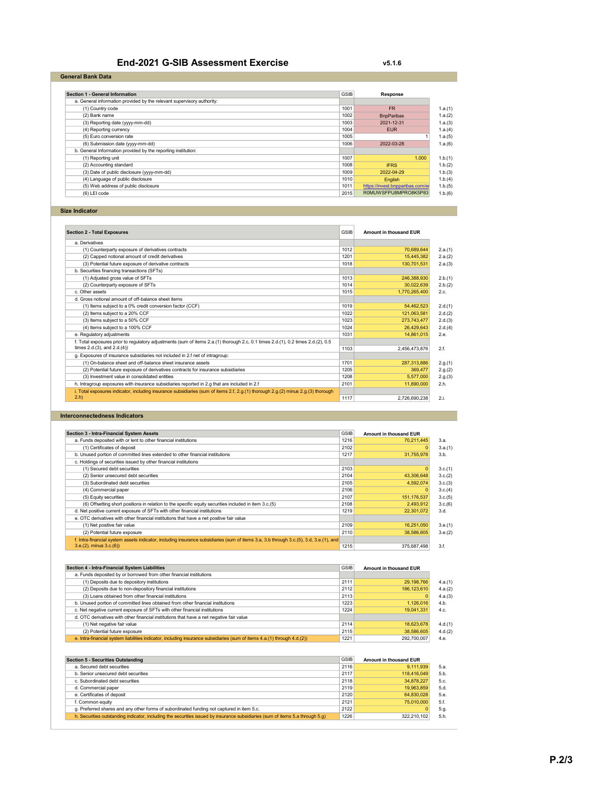| <b>End-2021 G-SIB Assessment Exercise</b> | v5.1.6 |
|-------------------------------------------|--------|
|-------------------------------------------|--------|

| Section 1 - General Information                                        | <b>GSIB</b> | Response                         |
|------------------------------------------------------------------------|-------------|----------------------------------|
| a. General information provided by the relevant supervisory authority: |             |                                  |
| (1) Country code                                                       | 1001        | <b>FR</b>                        |
| (2) Bank name                                                          | 1002        | <b>BnpParibas</b>                |
| (3) Reporting date (yyyy-mm-dd)                                        | 1003        | 2021-12-31                       |
| (4) Reporting currency                                                 | 1004        | <b>FUR</b>                       |
| (5) Euro conversion rate                                               | 1005        |                                  |
| (6) Submission date (yyyy-mm-dd)                                       | 1006        | 2022-03-28                       |
| b. General Information provided by the reporting institution:          |             |                                  |
| (1) Reporting unit                                                     | 1007        | 1.000                            |
| (2) Accounting standard                                                | 1008        | <b>IFRS</b>                      |
| (3) Date of public disclosure (yyyy-mm-dd)                             | 1009        | 2022-04-29                       |
| (4) Language of public disclosure                                      | 1010        | <b>English</b>                   |
| (5) Web address of public disclosure                                   | 1011        | https://invest.bnpparibas.com/er |
| (6) LEI code                                                           | 2015        | R0MUWSFPU8MPRO8K5P83             |

Size Indicator

| <b>Section 2 - Total Exposures</b>                                                                                                | <b>GSIB</b> | Amount in thousand EUR |         |
|-----------------------------------------------------------------------------------------------------------------------------------|-------------|------------------------|---------|
| a. Derivatives                                                                                                                    |             |                        |         |
| (1) Counterparty exposure of derivatives contracts                                                                                | 1012        | 70.689.644             | 2.a.(1) |
| (2) Capped notional amount of credit derivatives                                                                                  | 1201        | 15.445.382             | 2.a.(2) |
| (3) Potential future exposure of derivative contracts                                                                             | 1018        | 130,701,531            | 2.a.(3) |
| b. Securities financing transactions (SFTs)                                                                                       |             |                        |         |
| (1) Adjusted gross value of SFTs                                                                                                  | 1013        | 246,388,930            | 2.b.(1) |
| (2) Counterparty exposure of SFTs                                                                                                 | 1014        | 30,022,639             | 2.b.(2) |
| c. Other assets                                                                                                                   | 1015        | 1,770,265,400          | 2.c.    |
| d. Gross notional amount of off-balance sheet items                                                                               |             |                        |         |
| (1) Items subject to a 0% credit conversion factor (CCF)                                                                          | 1019        | 54,462,523             | 2.d.(1) |
| (2) Items subject to a 20% CCF                                                                                                    | 1022        | 121,063,581            | 2.d.(2) |
| (3) Items subject to a 50% CCF                                                                                                    | 1023        | 273,743,477            | 2.d.(3) |
| (4) Items subject to a 100% CCF                                                                                                   | 1024        | 26,429,643             | 2.d.(4) |
| e. Regulatory adjustments                                                                                                         | 1031        | 14.861.015             | 2.e.    |
| f. Total exposures prior to regulatory adjustments (sum of items 2.a.(1) thorough 2.c, 0.1 times 2.d.(1), 0.2 times 2.d.(2), 0.5  |             |                        |         |
| times $2.d.(3)$ , and $2.d.(4)$                                                                                                   | 1103        | 2.456.473.876          | 2.f.    |
| g. Exposures of insurance subsidiaries not included in 2.f net of intragroup:                                                     |             |                        |         |
| (1) On-balance sheet and off-balance sheet insurance assets                                                                       | 1701        | 287.313.886            | 2.g.(1) |
| (2) Potential future exposure of derivatives contracts for insurance subsidiaries                                                 | 1205        | 369.477                | 2.g.(2) |
| (3) Investment value in consolidated entities                                                                                     | 1208        | 5.577.000              | 2.g.(3) |
| h. Intragroup exposures with insurance subsidiaries reported in 2.g that are included in 2.f                                      | 2101        | 11.890.000             | 2.h.    |
| i. Total exposures indicator, including insurance subsidiaries (sum of items 2.f, 2.g.(1) thorough 2.g.(2) minus 2.g.(3) thorough |             |                        |         |
| $2.h$ )                                                                                                                           | 1117        | 2.726.690.238          | 2.i.    |

#### Interconnectedness Indicators

| <b>Section 3 - Intra-Financial System Assets</b>                                                                                       | <b>GSIB</b> | Amount in thousand EUR |         |
|----------------------------------------------------------------------------------------------------------------------------------------|-------------|------------------------|---------|
| a. Funds deposited with or lent to other financial institutions                                                                        | 1216        | 70.211.445             | 3.a.    |
| (1) Certificates of deposit                                                                                                            | 2102        |                        | 3.a.(1) |
| b. Unused portion of committed lines extended to other financial institutions                                                          | 1217        | 31.755.978             | 3.b.    |
| c. Holdings of securities issued by other financial institutions                                                                       |             |                        |         |
| (1) Secured debt securities                                                                                                            | 2103        |                        | 3.c.(1) |
| (2) Senior unsecured debt securities                                                                                                   | 2104        | 43,306,648             | 3.c.(2) |
| (3) Subordinated debt securities                                                                                                       | 2105        | 4,592,074              | 3.c.(3) |
| (4) Commercial paper                                                                                                                   | 2106        |                        | 3.c.(4) |
| (5) Equity securities                                                                                                                  | 2107        | 151, 176, 537          | 3.c.(5) |
| (6) Offsetting short positions in relation to the specific equity securities included in item 3.c.(5)                                  | 2108        | 2.493.912              | 3.c.(6) |
| d. Net positive current exposure of SFTs with other financial institutions                                                             | 1219        | 22,301,072             | 3.d.    |
| e. OTC derivatives with other financial institutions that have a net positive fair value                                               |             |                        |         |
| (1) Net positive fair value                                                                                                            | 2109        | 16,251,050             | 3.e.(1) |
| (2) Potential future exposure                                                                                                          | 2110        | 38,586,605             | 3.e.(2) |
| f. Intra-financial system assets indicator, including insurance subsidiaries (sum of items 3.a, 3.b through 3.c.(5), 3.d, 3.e.(1), and |             |                        |         |
| $3.e.(2)$ , minus $3.c.(6)$                                                                                                            | 1215        | 375.687.498            | 3.f.    |

| Section 4 - Intra-Financial System Liabilities                                                                           | <b>GSIB</b> | Amount in thousand EUR |         |
|--------------------------------------------------------------------------------------------------------------------------|-------------|------------------------|---------|
| a. Funds deposited by or borrowed from other financial institutions                                                      |             |                        |         |
| (1) Deposits due to depository institutions                                                                              | 2111        | 29,198,766             | 4.a.(1) |
| (2) Deposits due to non-depository financial institutions                                                                | 2112        | 186, 123, 610          | 4.a.(2) |
| (3) Loans obtained from other financial institutions                                                                     | 2113        |                        | 4.a.(3) |
| b. Unused portion of committed lines obtained from other financial institutions                                          | 1223        | 1,126,016              | 4.b.    |
| c. Net negative current exposure of SFTs with other financial institutions                                               | 1224        | 19.041.331             | 4.c.    |
| d. OTC derivatives with other financial institutions that have a net negative fair value                                 |             |                        |         |
| (1) Net negative fair value                                                                                              | 2114        | 18,623,678             | 4.d.(1) |
| (2) Potential future exposure                                                                                            | 2115        | 38,586,605             | 4.d.(2) |
| e. Intra-financial system liabilities indicator, including insurance subsidiaries (sum of items 4.a.(1) through 4.d.(2)) | 1221        | 292.700.007            | 4.e.    |

| <b>Section 5 - Securities Outstanding</b>                                                                                     | <b>GSIB</b> | Amount in thousand EUR |
|-------------------------------------------------------------------------------------------------------------------------------|-------------|------------------------|
| a. Secured debt securities                                                                                                    | 2116        | 9.111.939              |
| b. Senior unsecured debt securities                                                                                           | 2117        | 118,416,049            |
| c. Subordinated debt securities                                                                                               | 2118        | 34.878.227             |
| d. Commercial paper                                                                                                           | 2119        | 19.963.859             |
| e. Certificates of deposit                                                                                                    | 2120        | 64.830.028             |
| f. Common equity                                                                                                              | 2121        | 75.010.000             |
| g. Preferred shares and any other forms of subordinated funding not captured in item 5.c.                                     | 2122        |                        |
| h. Securities outstanding indicator, including the securities issued by insurance subsidiaries (sum of items 5.a through 5.g) | 1226        | 322.210.102            |